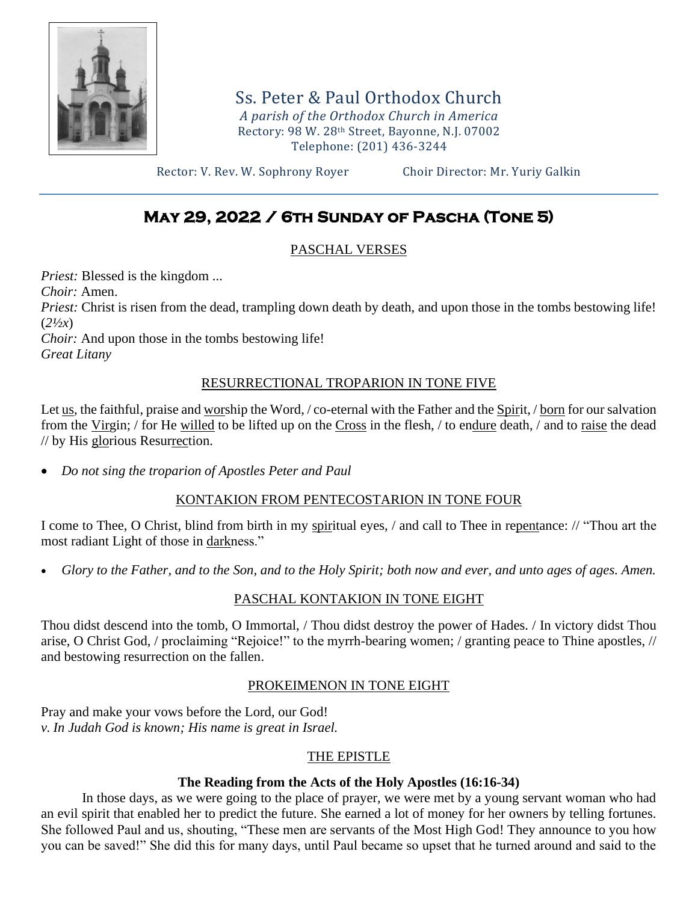

Ss. Peter & Paul Orthodox Church *A parish of the Orthodox Church in America* Rectory: 98 W. 28th Street, Bayonne, N.J. 07002 Telephone: (201) 436-3244

Rector: V. Rev. W. Sophrony Royer Choir Director: Mr. Yuriy Galkin

## **May 29, 2022 / 6th Sunday of Pascha (Tone 5)**

## PASCHAL VERSES

*Priest:* Blessed is the kingdom ... *Choir:* Amen. *Priest:* Christ is risen from the dead, trampling down death by death, and upon those in the tombs bestowing life! (*2½x*) *Choir:* And upon those in the tombs bestowing life! *Great Litany*

## RESURRECTIONAL TROPARION IN TONE FIVE

Let us, the faithful, praise and worship the Word, / co-eternal with the Father and the Spirit, / born for our salvation from the Virgin; / for He willed to be lifted up on the Cross in the flesh, / to endure death, / and to raise the dead // by His glorious Resurrection.

• *Do not sing the troparion of Apostles Peter and Paul*

## KONTAKION FROM PENTECOSTARION IN TONE FOUR

I come to Thee, O Christ, blind from birth in my spiritual eyes, / and call to Thee in repentance: // "Thou art the most radiant Light of those in darkness."

• *Glory to the Father, and to the Son, and to the Holy Spirit; both now and ever, and unto ages of ages. Amen.*

## PASCHAL KONTAKION IN TONE EIGHT

Thou didst descend into the tomb, O Immortal, / Thou didst destroy the power of Hades. / In victory didst Thou arise, O Christ God, / proclaiming "Rejoice!" to the myrrh-bearing women; / granting peace to Thine apostles, // and bestowing resurrection on the fallen.

## PROKEIMENON IN TONE EIGHT

Pray and make your vows before the Lord, our God! *v. In Judah God is known; His name is great in Israel.*

## THE EPISTLE

## **The Reading from the Acts of the Holy Apostles (16:16-34)**

In those days, as we were going to the place of prayer, we were met by a young servant woman who had an evil spirit that enabled her to predict the future. She earned a lot of money for her owners by telling fortunes. She followed Paul and us, shouting, "These men are servants of the Most High God! They announce to you how you can be saved!" She did this for many days, until Paul became so upset that he turned around and said to the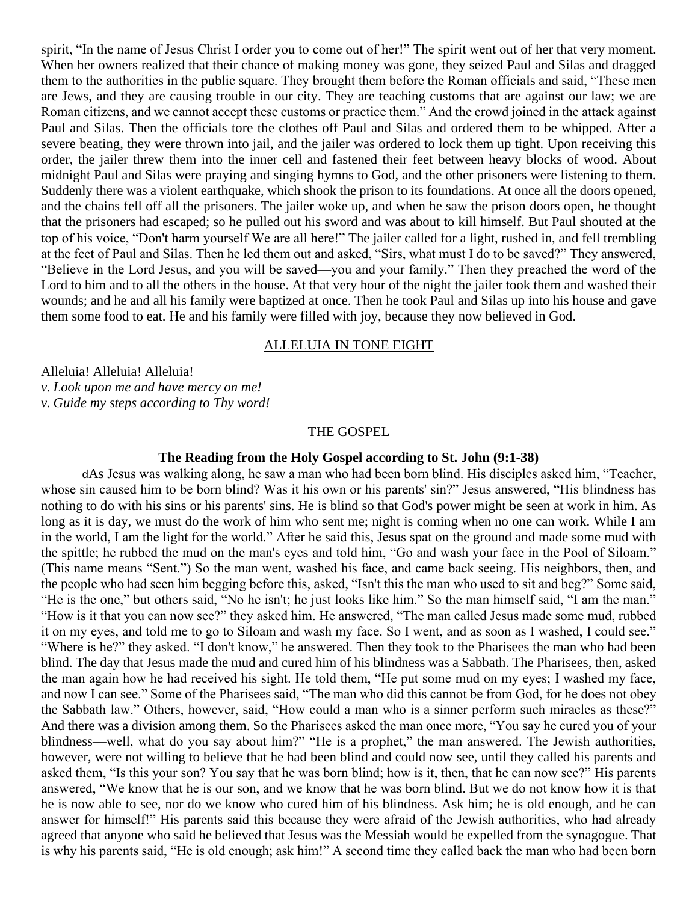spirit, "In the name of Jesus Christ I order you to come out of her!" The spirit went out of her that very moment. When her owners realized that their chance of making money was gone, they seized Paul and Silas and dragged them to the authorities in the public square. They brought them before the Roman officials and said, "These men are Jews, and they are causing trouble in our city. They are teaching customs that are against our law; we are Roman citizens, and we cannot accept these customs or practice them." And the crowd joined in the attack against Paul and Silas. Then the officials tore the clothes off Paul and Silas and ordered them to be whipped. After a severe beating, they were thrown into jail, and the jailer was ordered to lock them up tight. Upon receiving this order, the jailer threw them into the inner cell and fastened their feet between heavy blocks of wood. About midnight Paul and Silas were praying and singing hymns to God, and the other prisoners were listening to them. Suddenly there was a violent earthquake, which shook the prison to its foundations. At once all the doors opened, and the chains fell off all the prisoners. The jailer woke up, and when he saw the prison doors open, he thought that the prisoners had escaped; so he pulled out his sword and was about to kill himself. But Paul shouted at the top of his voice, "Don't harm yourself We are all here!" The jailer called for a light, rushed in, and fell trembling at the feet of Paul and Silas. Then he led them out and asked, "Sirs, what must I do to be saved?" They answered, "Believe in the Lord Jesus, and you will be saved—you and your family." Then they preached the word of the Lord to him and to all the others in the house. At that very hour of the night the jailer took them and washed their wounds; and he and all his family were baptized at once. Then he took Paul and Silas up into his house and gave them some food to eat. He and his family were filled with joy, because they now believed in God.

#### ALLELUIA IN TONE EIGHT

Alleluia! Alleluia! Alleluia!

*v. Look upon me and have mercy on me!*

*v. Guide my steps according to Thy word!*

#### THE GOSPEL

#### **The Reading from the Holy Gospel according to St. John (9:1-38)**

dAs Jesus was walking along, he saw a man who had been born blind. His disciples asked him, "Teacher, whose sin caused him to be born blind? Was it his own or his parents' sin?" Jesus answered, "His blindness has nothing to do with his sins or his parents' sins. He is blind so that God's power might be seen at work in him. As long as it is day, we must do the work of him who sent me; night is coming when no one can work. While I am in the world, I am the light for the world." After he said this, Jesus spat on the ground and made some mud with the spittle; he rubbed the mud on the man's eyes and told him, "Go and wash your face in the Pool of Siloam." (This name means "Sent.") So the man went, washed his face, and came back seeing. His neighbors, then, and the people who had seen him begging before this, asked, "Isn't this the man who used to sit and beg?" Some said, "He is the one," but others said, "No he isn't; he just looks like him." So the man himself said, "I am the man." "How is it that you can now see?" they asked him. He answered, "The man called Jesus made some mud, rubbed it on my eyes, and told me to go to Siloam and wash my face. So I went, and as soon as I washed, I could see." "Where is he?" they asked. "I don't know," he answered. Then they took to the Pharisees the man who had been blind. The day that Jesus made the mud and cured him of his blindness was a Sabbath. The Pharisees, then, asked the man again how he had received his sight. He told them, "He put some mud on my eyes; I washed my face, and now I can see." Some of the Pharisees said, "The man who did this cannot be from God, for he does not obey the Sabbath law." Others, however, said, "How could a man who is a sinner perform such miracles as these?" And there was a division among them. So the Pharisees asked the man once more, "You say he cured you of your blindness—well, what do you say about him?" "He is a prophet," the man answered. The Jewish authorities, however, were not willing to believe that he had been blind and could now see, until they called his parents and asked them, "Is this your son? You say that he was born blind; how is it, then, that he can now see?" His parents answered, "We know that he is our son, and we know that he was born blind. But we do not know how it is that he is now able to see, nor do we know who cured him of his blindness. Ask him; he is old enough, and he can answer for himself!" His parents said this because they were afraid of the Jewish authorities, who had already agreed that anyone who said he believed that Jesus was the Messiah would be expelled from the synagogue. That is why his parents said, "He is old enough; ask him!" A second time they called back the man who had been born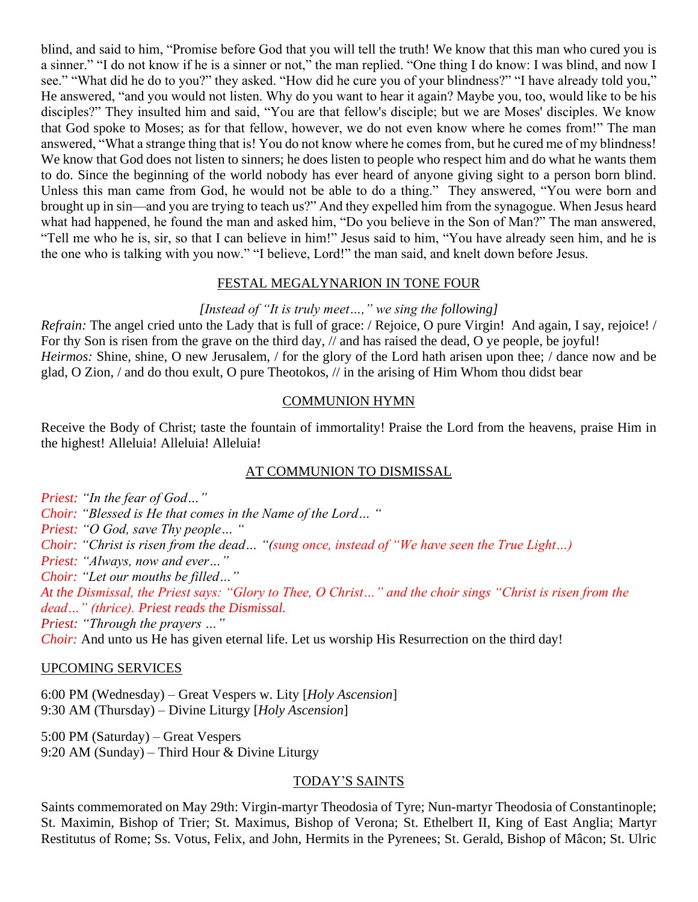blind, and said to him, "Promise before God that you will tell the truth! We know that this man who cured you is a sinner." "I do not know if he is a sinner or not," the man replied. "One thing I do know: I was blind, and now I see." "What did he do to you?" they asked. "How did he cure you of your blindness?" "I have already told you," He answered, "and you would not listen. Why do you want to hear it again? Maybe you, too, would like to be his disciples?" They insulted him and said, "You are that fellow's disciple; but we are Moses' disciples. We know that God spoke to Moses; as for that fellow, however, we do not even know where he comes from!" The man answered, "What a strange thing that is! You do not know where he comes from, but he cured me of my blindness! We know that God does not listen to sinners; he does listen to people who respect him and do what he wants them to do. Since the beginning of the world nobody has ever heard of anyone giving sight to a person born blind. Unless this man came from God, he would not be able to do a thing." They answered, "You were born and brought up in sin—and you are trying to teach us?" And they expelled him from the synagogue. When Jesus heard what had happened, he found the man and asked him, "Do you believe in the Son of Man?" The man answered, "Tell me who he is, sir, so that I can believe in him!" Jesus said to him, "You have already seen him, and he is the one who is talking with you now." "I believe, Lord!" the man said, and knelt down before Jesus.

#### FESTAL MEGALYNARION IN TONE FOUR

#### *[Instead of "It is truly meet…," we sing the following]*

*Refrain:* The angel cried unto the Lady that is full of grace: / Rejoice, O pure Virgin! And again, I say, rejoice! / For thy Son is risen from the grave on the third day, // and has raised the dead, O ye people, be joyful! *Heirmos:* Shine, shine, O new Jerusalem, / for the glory of the Lord hath arisen upon thee; / dance now and be glad, O Zion, / and do thou exult, O pure Theotokos, // in the arising of Him Whom thou didst bear

## COMMUNION HYMN

Receive the Body of Christ; taste the fountain of immortality! Praise the Lord from the heavens, praise Him in the highest! Alleluia! Alleluia! Alleluia!

## AT COMMUNION TO DISMISSAL

*Priest: "In the fear of God…" Choir: "Blessed is He that comes in the Name of the Lord… " Priest: "O God, save Thy people… " Choir: "Christ is risen from the dead… "(sung once, instead of "We have seen the True Light…) Priest: "Always, now and ever…" Choir: "Let our mouths be filled…" At the Dismissal, the Priest says: "Glory to Thee, O Christ…" and the choir sings "Christ is risen from the dead…" (thrice). Priest reads the Dismissal. Priest: "Through the prayers …"*

*Choir*: And unto us He has given eternal life. Let us worship His Resurrection on the third day!

#### UPCOMING SERVICES

6:00 PM (Wednesday) – Great Vespers w. Lity [*Holy Ascension*] 9:30 AM (Thursday) – Divine Liturgy [*Holy Ascension*]

5:00 PM (Saturday) – Great Vespers 9:20 AM (Sunday) – Third Hour & Divine Liturgy

#### TODAY'S SAINTS

Saints commemorated on May 29th: Virgin-martyr Theodosia of Tyre; Nun-martyr Theodosia of Constantinople; St. Maximin, Bishop of Trier; St. Maximus, Bishop of Verona; St. Ethelbert II, King of East Anglia; Martyr Restitutus of Rome; Ss. Votus, Felix, and John, Hermits in the Pyrenees; St. Gerald, Bishop of Mâcon; St. Ulric